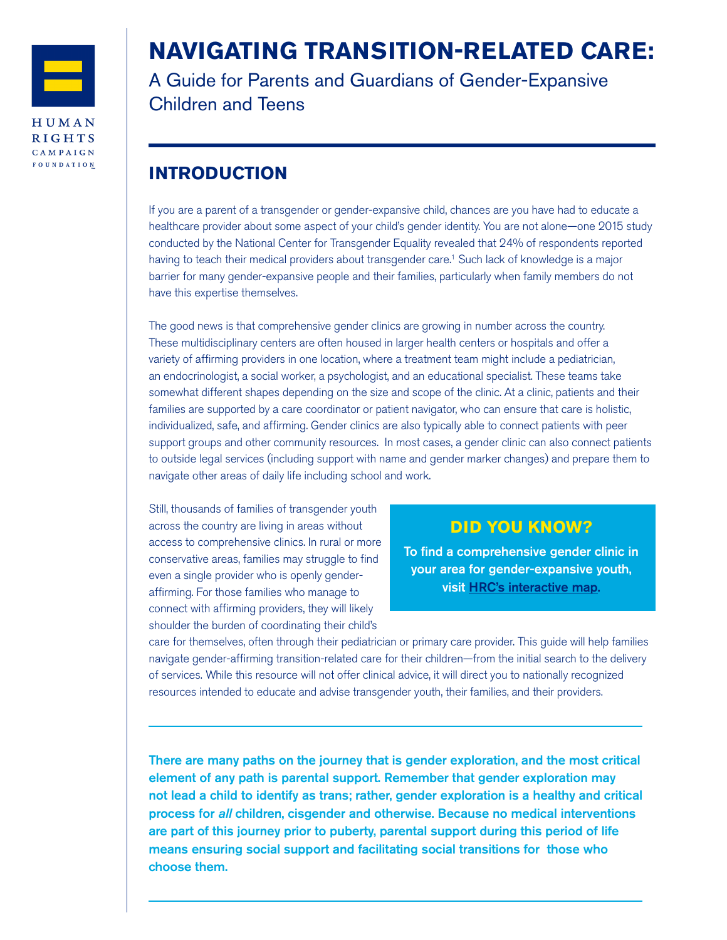

# **NAVIGATING TRANSITION-RELATED CARE:**

A Guide for Parents and Guardians of Gender-Expansive Children and Teens

# **INTRODUCTION**

If you are a parent of a transgender or gender-expansive child, chances are you have had to educate a healthcare provider about some aspect of your child's gender identity. You are not alone—one 2015 study conducted by the National Center for Transgender Equality revealed that 24% of respondents reported having to teach their medical providers about transgender care.1 Such lack of knowledge is a major barrier for many gender-expansive people and their families, particularly when family members do not have this expertise themselves.

The good news is that comprehensive gender clinics are growing in number across the country. These multidisciplinary centers are often housed in larger health centers or hospitals and offer a variety of affirming providers in one location, where a treatment team might include a pediatrician, an endocrinologist, a social worker, a psychologist, and an educational specialist. These teams take somewhat different shapes depending on the size and scope of the clinic. At a clinic, patients and their families are supported by a care coordinator or patient navigator, who can ensure that care is holistic, individualized, safe, and affirming. Gender clinics are also typically able to connect patients with peer support groups and other community resources. In most cases, a gender clinic can also connect patients to outside legal services (including support with name and gender marker changes) and prepare them to navigate other areas of daily life including school and work.

Still, thousands of families of transgender youth across the country are living in areas without access to comprehensive clinics. In rural or more conservative areas, families may struggle to find even a single provider who is openly genderaffirming. For those families who manage to connect with affirming providers, they will likely shoulder the burden of coordinating their child's

### **DID YOU KNOW?**

To find a comprehensive gender clinic in your area for gender-expansive youth, visit [HRC's interactive map](https://www.hrc.org/resources/interactive-map-clinical-care-programs-for-gender-nonconforming-childr).

care for themselves, often through their pediatrician or primary care provider. This guide will help families navigate gender-affirming transition-related care for their children—from the initial search to the delivery of services. While this resource will not offer clinical advice, it will direct you to nationally recognized resources intended to educate and advise transgender youth, their families, and their providers.

There are many paths on the journey that is gender exploration, and the most critical element of any path is parental support. Remember that gender exploration may not lead a child to identify as trans; rather, gender exploration is a healthy and critical process for *all* children, cisgender and otherwise. Because no medical interventions are part of this journey prior to puberty, parental support during this period of life means ensuring social support and facilitating social transitions for those who choose them.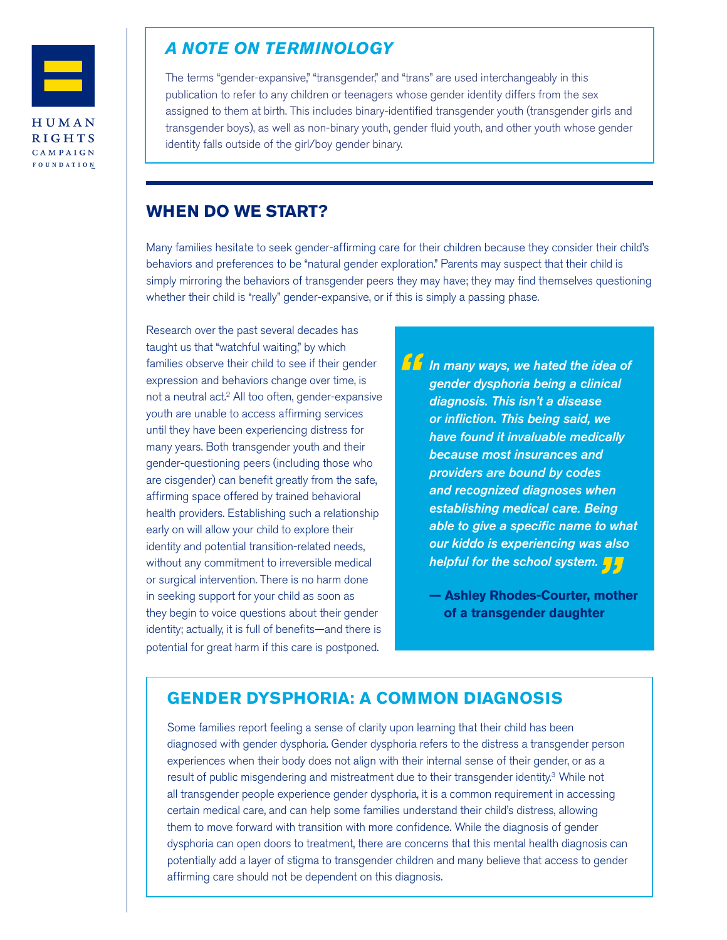

### *A NOTE ON TERMINOLOGY*

The terms "gender-expansive," "transgender," and "trans" are used interchangeably in this publication to refer to any children or teenagers whose gender identity differs from the sex assigned to them at birth. This includes binary-identified transgender youth (transgender girls and transgender boys), as well as non-binary youth, gender fluid youth, and other youth whose gender identity falls outside of the girl/boy gender binary.

### **WHEN DO WE START?**

Many families hesitate to seek gender-affirming care for their children because they consider their child's behaviors and preferences to be "natural gender exploration." Parents may suspect that their child is simply mirroring the behaviors of transgender peers they may have; they may find themselves questioning whether their child is "really" gender-expansive, or if this is simply a passing phase.

Research over the past several decades has taught us that "watchful waiting," by which families observe their child to see if their gender expression and behaviors change over time, is not a neutral act.<sup>2</sup> All too often, gender-expansive youth are unable to access affirming services until they have been experiencing distress for many years. Both transgender youth and their gender-questioning peers (including those who are cisgender) can benefit greatly from the safe, affirming space offered by trained behavioral health providers. Establishing such a relationship early on will allow your child to explore their identity and potential transition-related needs, without any commitment to irreversible medical or surgical intervention. There is no harm done in seeking support for your child as soon as they begin to voice questions about their gender identity; actually, it is full of benefits—and there is potential for great harm if this care is postponed.

*In many ways, we hated the idea of gender dysphoria being a clinical diagnosis. This isn't a disease or infliction. This being said, we have found it invaluable medically because most insurances and providers are bound by codes and recognized diagnoses when establishing medical care. Being able to give a specific name to what our kiddo is experiencing was also "*

*helpful for the school system. "* **— Ashley Rhodes-Courter, mother of a transgender daughter**

### **GENDER DYSPHORIA: A COMMON DIAGNOSIS**

Some families report feeling a sense of clarity upon learning that their child has been diagnosed with gender dysphoria. Gender dysphoria refers to the distress a transgender person experiences when their body does not align with their internal sense of their gender, or as a result of public misgendering and mistreatment due to their transgender identity.<sup>3</sup> While not all transgender people experience gender dysphoria, it is a common requirement in accessing certain medical care, and can help some families understand their child's distress, allowing them to move forward with transition with more confidence. While the diagnosis of gender dysphoria can open doors to treatment, there are concerns that this mental health diagnosis can potentially add a layer of stigma to transgender children and many believe that access to gender affirming care should not be dependent on this diagnosis.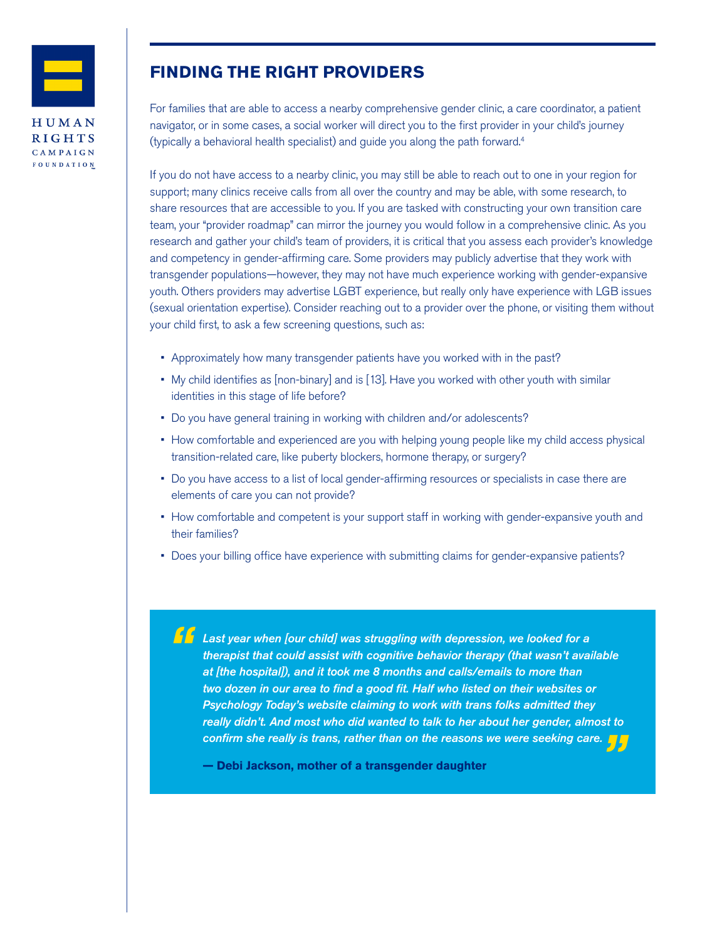

# **FINDING THE RIGHT PROVIDERS**

For families that are able to access a nearby comprehensive gender clinic, a care coordinator, a patient navigator, or in some cases, a social worker will direct you to the first provider in your child's journey (typically a behavioral health specialist) and guide you along the path forward.4

If you do not have access to a nearby clinic, you may still be able to reach out to one in your region for support; many clinics receive calls from all over the country and may be able, with some research, to share resources that are accessible to you. If you are tasked with constructing your own transition care team, your "provider roadmap" can mirror the journey you would follow in a comprehensive clinic. As you research and gather your child's team of providers, it is critical that you assess each provider's knowledge and competency in gender-affirming care. Some providers may publicly advertise that they work with transgender populations—however, they may not have much experience working with gender-expansive youth. Others providers may advertise LGBT experience, but really only have experience with LGB issues (sexual orientation expertise). Consider reaching out to a provider over the phone, or visiting them without your child first, to ask a few screening questions, such as:

- Approximately how many transgender patients have you worked with in the past?
- My child identifies as [non-binary] and is [13]. Have you worked with other youth with similar identities in this stage of life before?
- Do you have general training in working with children and/or adolescents?
- How comfortable and experienced are you with helping young people like my child access physical transition-related care, like puberty blockers, hormone therapy, or surgery?
- Do you have access to a list of local gender-affirming resources or specialists in case there are elements of care you can not provide?
- How comfortable and competent is your support staff in working with gender-expansive youth and their families?
- Does your billing office have experience with submitting claims for gender-expansive patients?

*Last year when [our child] was struggling with depression, we looked for a therapist that could assist with cognitive behavior therapy (that wasn't available at [the hospital]), and it took me 8 months and calls/emails to more than two dozen in our area to find a good fit. Half who listed on their websites or Psychology Today's website claiming to work with trans folks admitted they really didn't. And most who did wanted to talk to her about her gender, almost to confirm she really is trans, rather than on the reasons we were seeking care.***<br>— Debi Jackson, mother of a transgender daughter** 

**— Debi Jackson, mother of a transgender daughter**

*"*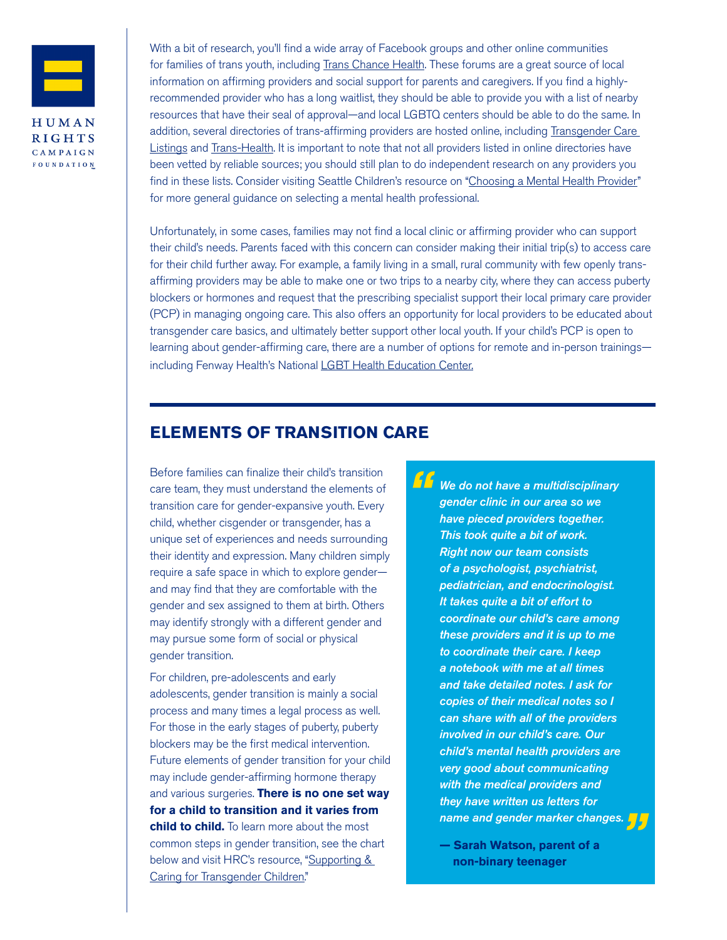

With a bit of research, you'll find a wide array of Facebook groups and other online communities for families of trans youth, including [Trans Chance Health.](https://www.transchancehealth.org/) These forums are a great source of local information on affirming providers and social support for parents and caregivers. If you find a highlyrecommended provider who has a long waitlist, they should be able to provide you with a list of nearby resources that have their seal of approval—and local LGBTQ centers should be able to do the same. In addition, several directories of trans-affirming providers are hosted online, including Transgender Care [Listings](http://transcaresite.org/) and [Trans-Health](http://www.trans-health.com/). It is important to note that not all providers listed in online directories have been vetted by reliable sources; you should still plan to do independent research on any providers you find in these lists. Consider visiting Seattle Children's resource on "[Choosing a Mental Health Provider](https://www.seattlechildrens.org/pdf/PE1739.pdf)" for more general guidance on selecting a mental health professional.

Unfortunately, in some cases, families may not find a local clinic or affirming provider who can support their child's needs. Parents faced with this concern can consider making their initial trip(s) to access care for their child further away. For example, a family living in a small, rural community with few openly transaffirming providers may be able to make one or two trips to a nearby city, where they can access puberty blockers or hormones and request that the prescribing specialist support their local primary care provider (PCP) in managing ongoing care. This also offers an opportunity for local providers to be educated about transgender care basics, and ultimately better support other local youth. If your child's PCP is open to learning about gender-affirming care, there are a number of options for remote and in-person trainings— including Fenway Health's National [LGBT Health Education Center](https://www.lgbthealtheducation.org/).

### **ELEMENTS OF TRANSITION CARE**

Before families can finalize their child's transition care team, they must understand the elements of transition care for gender-expansive youth. Every child, whether cisgender or transgender, has a unique set of experiences and needs surrounding their identity and expression. Many children simply require a safe space in which to explore gender and may find that they are comfortable with the gender and sex assigned to them at birth. Others may identify strongly with a different gender and may pursue some form of social or physical gender transition.

For children, pre-adolescents and early adolescents, gender transition is mainly a social process and many times a legal process as well. For those in the early stages of puberty, puberty blockers may be the first medical intervention. Future elements of gender transition for your child may include gender-affirming hormone therapy and various surgeries. **There is no one set way for a child to transition and it varies from child to child.** To learn more about the most common steps in gender transition, see the chart below and visit HRC's resource, "Supporting & [Caring for Transgender Children](https://www.hrc.org/resources/supporting-caring-for-transgender-children)."

*We do not have a multidisciplinary gender clinic in our area so we have pieced providers together. This took quite a bit of work. Right now our team consists of a psychologist, psychiatrist, pediatrician, and endocrinologist. It takes quite a bit of effort to coordinate our child's care among these providers and it is up to me to coordinate their care. I keep a notebook with me at all times and take detailed notes. I ask for copies of their medical notes so I can share with all of the providers involved in our child's care. Our child's mental health providers are very good about communicating with the medical providers and they have written us letters for "*

*name and gender marker changes.*<br>— Sarah Watson, parent of a<br>non-binary teenager **— Sarah Watson, parent of a non-binary teenager**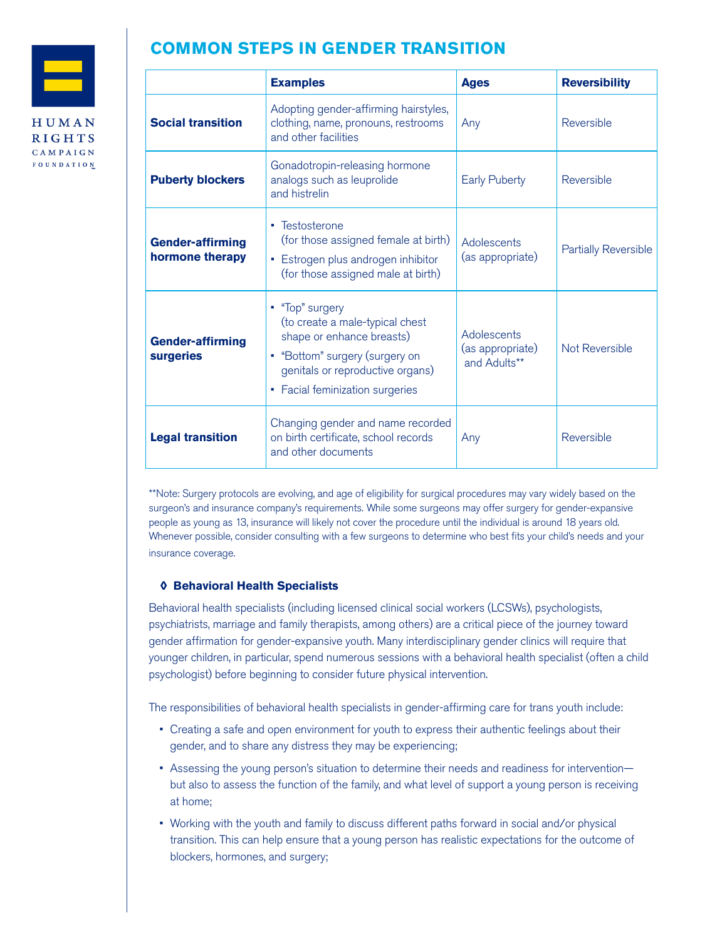

# **COMMON STEPS IN GENDER TRANSITION**

|                                             | <b>Examples</b>                                                                                                                                                                          | <b>Ages</b>                                     | <b>Reversibility</b>        |
|---------------------------------------------|------------------------------------------------------------------------------------------------------------------------------------------------------------------------------------------|-------------------------------------------------|-----------------------------|
| <b>Social transition</b>                    | Adopting gender-affirming hairstyles,<br>clothing, name, pronouns, restrooms<br>and other facilities                                                                                     | Any                                             | Reversible                  |
| <b>Puberty blockers</b>                     | Gonadotropin-releasing hormone<br>analogs such as leuprolide<br>and histrelin                                                                                                            | <b>Early Puberty</b>                            | Reversible                  |
| <b>Gender-affirming</b><br>hormone therapy  | • Testosterone<br>(for those assigned female at birth)<br>• Estrogen plus androgen inhibitor<br>(for those assigned male at birth)                                                       | Adolescents<br>(as appropriate)                 | <b>Partially Reversible</b> |
| <b>Gender-affirming</b><br><b>surgeries</b> | • "Top" surgery<br>(to create a male-typical chest<br>shape or enhance breasts)<br>• "Bottom" surgery (surgery on<br>genitals or reproductive organs)<br>• Facial feminization surgeries | Adolescents<br>(as appropriate)<br>and Adults** | Not Reversible              |
| <b>Legal transition</b>                     | Changing gender and name recorded<br>on birth certificate, school records<br>and other documents                                                                                         | Any                                             | Reversible                  |

\*\*Note: Surgery protocols are evolving, and age of eligibility for surgical procedures may vary widely based on the surgeon's and insurance company's requirements. While some surgeons may offer surgery for gender-expansive people as young as 13, insurance will likely not cover the procedure until the individual is around 18 years old. Whenever possible, consider consulting with a few surgeons to determine who best fits your child's needs and your insurance coverage.

#### **◊ Behavioral Health Specialists**

Behavioral health specialists (including licensed clinical social workers (LCSWs), psychologists, psychiatrists, marriage and family therapists, among others) are a critical piece of the journey toward gender affirmation for gender-expansive youth. Many interdisciplinary gender clinics will require that younger children, in particular, spend numerous sessions with a behavioral health specialist (often a child psychologist) before beginning to consider future physical intervention.

The responsibilities of behavioral health specialists in gender-affirming care for trans youth include:

- Creating a safe and open environment for youth to express their authentic feelings about their gender, and to share any distress they may be experiencing;
- Assessing the young person's situation to determine their needs and readiness for intervention but also to assess the function of the family, and what level of support a young person is receiving at home;
- Working with the youth and family to discuss different paths forward in social and/or physical transition. This can help ensure that a young person has realistic expectations for the outcome of blockers, hormones, and surgery;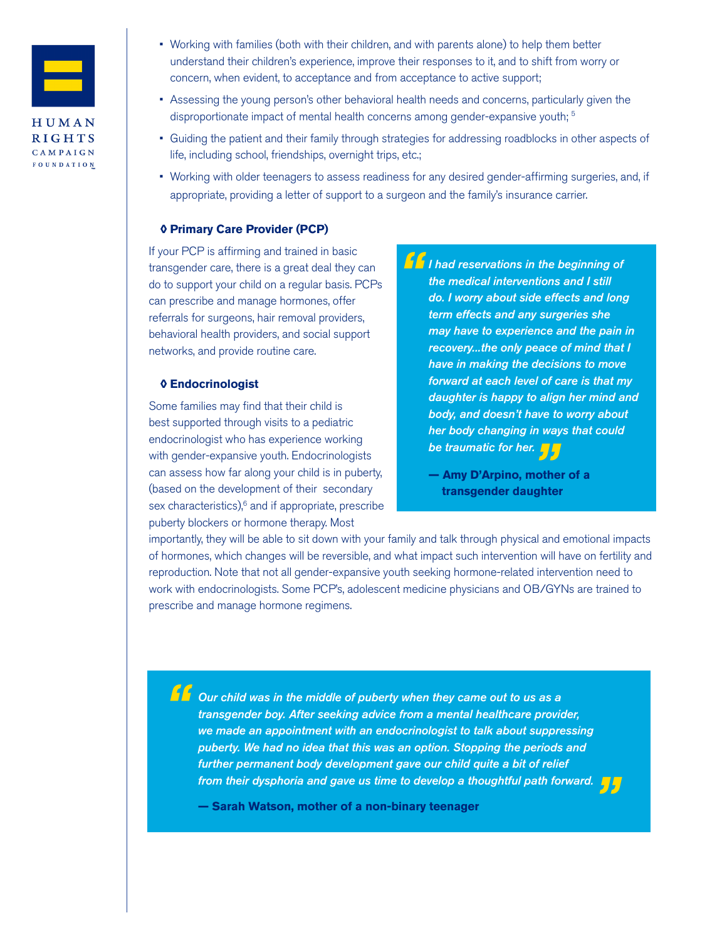

- Working with families (both with their children, and with parents alone) to help them better understand their children's experience, improve their responses to it, and to shift from worry or concern, when evident, to acceptance and from acceptance to active support;
- Assessing the young person's other behavioral health needs and concerns, particularly given the disproportionate impact of mental health concerns among gender-expansive youth;<sup>5</sup>
- Guiding the patient and their family through strategies for addressing roadblocks in other aspects of life, including school, friendships, overnight trips, etc.;
- Working with older teenagers to assess readiness for any desired gender-affirming surgeries, and, if appropriate, providing a letter of support to a surgeon and the family's insurance carrier.

#### **◊ Primary Care Provider (PCP)**

If your PCP is affirming and trained in basic transgender care, there is a great deal they can do to support your child on a regular basis. PCPs can prescribe and manage hormones, offer referrals for surgeons, hair removal providers, behavioral health providers, and social support networks, and provide routine care.

#### **◊ Endocrinologist**

Some families may find that their child is best supported through visits to a pediatric endocrinologist who has experience working with gender-expansive youth. Endocrinologists can assess how far along your child is in puberty, (based on the development of their secondary sex characteristics),<sup>6</sup> and if appropriate, prescribe puberty blockers or hormone therapy. Most

*I had reservations in the beginning of the medical interventions and I still do. I worry about side effects and long term effects and any surgeries she may have to experience and the pain in recovery...the only peace of mind that I have in making the decisions to move forward at each level of care is that my daughter is happy to align her mind and body, and doesn't have to worry about her body changing in ways that could "*

*be traumatic for her.*<br>— Amy D'Arpino, mothe<br>transgender daughte **— Amy D'Arpino, mother of a transgender daughter** 

importantly, they will be able to sit down with your family and talk through physical and emotional impacts of hormones, which changes will be reversible, and what impact such intervention will have on fertility and reproduction. Note that not all gender-expansive youth seeking hormone-related intervention need to work with endocrinologists. Some PCP's, adolescent medicine physicians and OB/GYNs are trained to prescribe and manage hormone regimens.

*Our child was in the middle of puberty when they came out to us as a transgender boy. After seeking advice from a mental healthcare provider, we made an appointment with an endocrinologist to talk about suppressing puberty. We had no idea that this was an option. Stopping the periods and further permanent body development gave our child quite a bit of relief from their dysphoria and gave us time to develop a thoughtful path forward.*<br>— Sarah Watson, mother of a non-binary teenager<br>— *"*

**— Sarah Watson, mother of a non-binary teenager**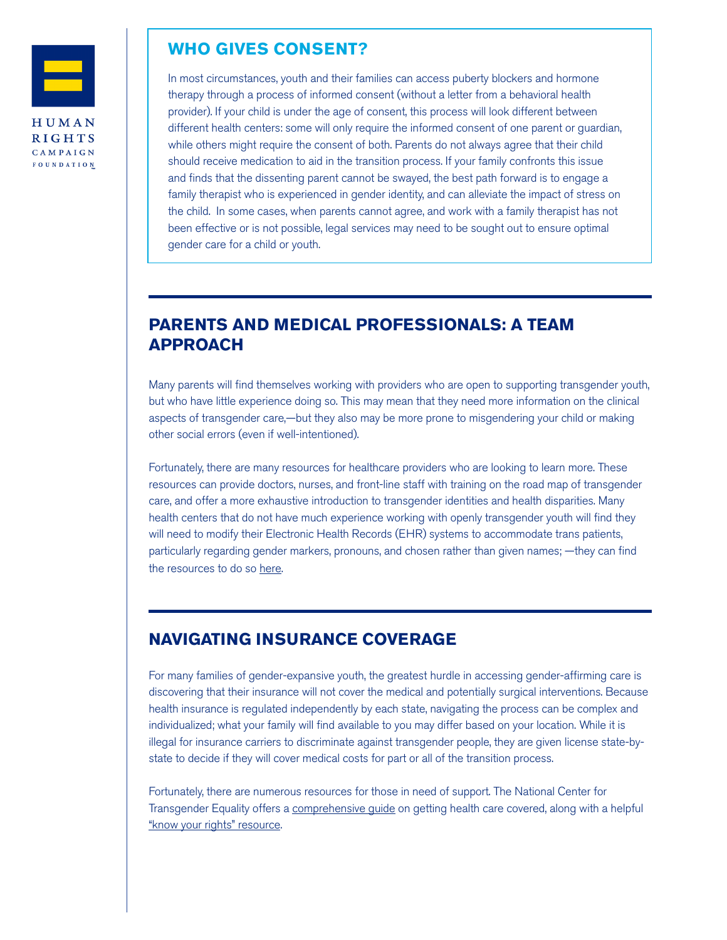

### **WHO GIVES CONSENT?**

In most circumstances, youth and their families can access puberty blockers and hormone therapy through a process of informed consent (without a letter from a behavioral health provider). If your child is under the age of consent, this process will look different between different health centers: some will only require the informed consent of one parent or guardian, while others might require the consent of both. Parents do not always agree that their child should receive medication to aid in the transition process. If your family confronts this issue and finds that the dissenting parent cannot be swayed, the best path forward is to engage a family therapist who is experienced in gender identity, and can alleviate the impact of stress on the child. In some cases, when parents cannot agree, and work with a family therapist has not been effective or is not possible, legal services may need to be sought out to ensure optimal gender care for a child or youth.

# **PARENTS AND MEDICAL PROFESSIONALS: A TEAM APPROACH**

Many parents will find themselves working with providers who are open to supporting transgender youth, but who have little experience doing so. This may mean that they need more information on the clinical aspects of transgender care,—but they also may be more prone to misgendering your child or making other social errors (even if well-intentioned).

Fortunately, there are many resources for healthcare providers who are looking to learn more. These resources can provide doctors, nurses, and front-line staff with training on the road map of transgender care, and offer a more exhaustive introduction to transgender identities and health disparities. Many health centers that do not have much experience working with openly transgender youth will find they will need to modify their Electronic Health Records (EHR) systems to accommodate trans patients, particularly regarding gender markers, pronouns, and chosen rather than given names; —they can find the resources to do so [here.](http://www.lgbthealtheducation.org/wp-content/uploads/Collecting-SOGI-Data-in-EHRs-COM2111.pdf)

### **NAVIGATING INSURANCE COVERAGE**

For many families of gender-expansive youth, the greatest hurdle in accessing gender-affirming care is discovering that their insurance will not cover the medical and potentially surgical interventions. Because health insurance is regulated independently by each state, navigating the process can be complex and individualized; what your family will find available to you may differ based on your location. While it is illegal for insurance carriers to discriminate against transgender people, they are given license state-bystate to decide if they will cover medical costs for part or all of the transition process.

Fortunately, there are numerous resources for those in need of support. The National Center for Transgender Equality offers a [comprehensive guide](https://transequality.org/health-coverage-guide) on getting health care covered, along with a helpful ["know your rights" resource](https://transequality.org/know-your-rights/health-care).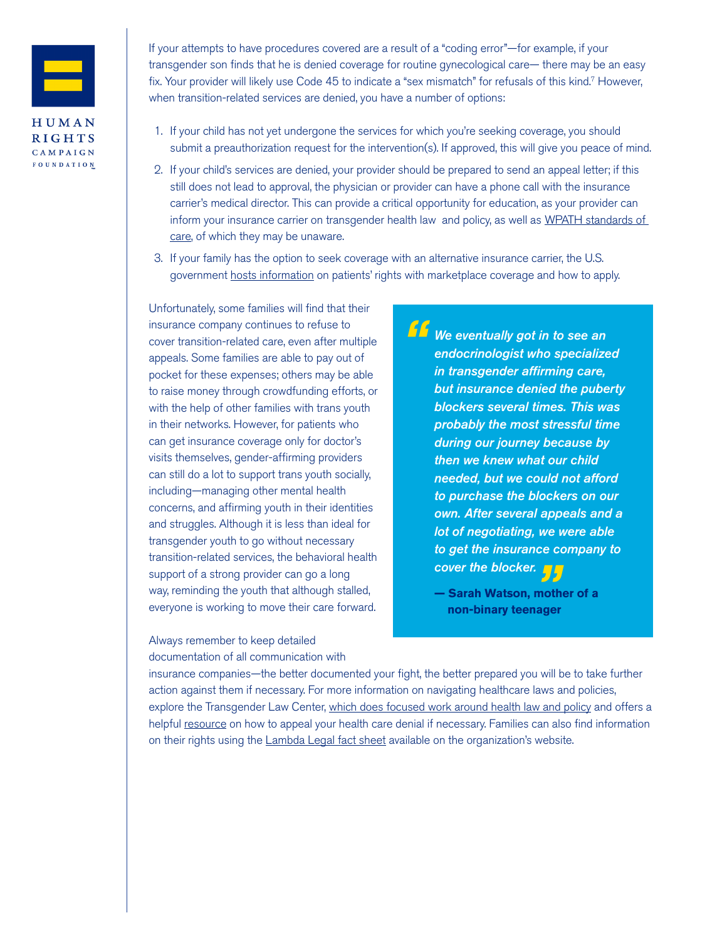

If your attempts to have procedures covered are a result of a "coding error"—for example, if your transgender son finds that he is denied coverage for routine gynecological care— there may be an easy fix. Your provider will likely use Code 45 to indicate a "sex mismatch" for refusals of this kind.7 However, when transition-related services are denied, you have a number of options:

- 1. If your child has not yet undergone the services for which you're seeking coverage, you should submit a preauthorization request for the intervention(s). If approved, this will give you peace of mind.
- 2. If your child's services are denied, your provider should be prepared to send an appeal letter; if this still does not lead to approval, the physician or provider can have a phone call with the insurance carrier's medical director. This can provide a critical opportunity for education, as your provider can inform your insurance carrier on transgender health law and policy, as well as [WPATH standards of](https://www.wpath.org/publications/soc)  [care](https://www.wpath.org/publications/soc), of which they may be unaware.
- 3. If your family has the option to seek coverage with an alternative insurance carrier, the U.S. government [hosts information](https://www.healthcare.gov/transgender-health-care/) on patients' rights with marketplace coverage and how to apply.

Unfortunately, some families will find that their insurance company continues to refuse to cover transition-related care, even after multiple appeals. Some families are able to pay out of pocket for these expenses; others may be able to raise money through crowdfunding efforts, or with the help of other families with trans youth in their networks. However, for patients who can get insurance coverage only for doctor's visits themselves, gender-affirming providers can still do a lot to support trans youth socially, including—managing other mental health concerns, and affirming youth in their identities and struggles. Although it is less than ideal for transgender youth to go without necessary transition-related services, the behavioral health support of a strong provider can go a long way, reminding the youth that although stalled, everyone is working to move their care forward.

Always remember to keep detailed documentation of all communication with

*We eventually got in to see an endocrinologist who specialized in transgender affirming care, but insurance denied the puberty blockers several times. This was probably the most stressful time during our journey because by then we knew what our child needed, but we could not afford to purchase the blockers on our own. After several appeals and a lot of negotiating, we were able to get the insurance company to "*

*cover the blocker.*<br>— Sarah Watson, moth<br>non-binary teenager **— Sarah Watson, mother of a non-binary teenager**

insurance companies—the better documented your fight, the better prepared you will be to take further action against them if necessary. For more information on navigating healthcare laws and policies, explore the Transgender Law Center, [which does focused work around health law and policy](https://transgenderlawcenter.org/legal/health) and offers a helpful [resource](https://transgenderlawcenter.org/resources/health/how-to-appeal-your-health-care-denial) on how to appeal your health care denial if necessary. Families can also find information on their rights using the [Lambda Legal fact sheet](https://www.lambdalegal.org/publications/trt_transition-related-health-care) available on the organization's website.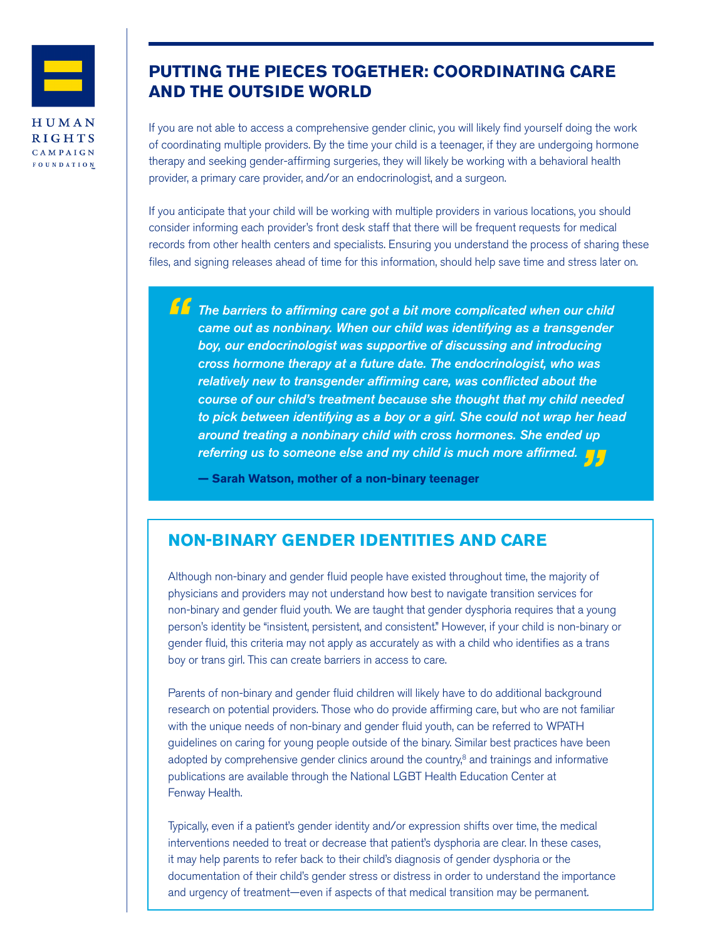

### **PUTTING THE PIECES TOGETHER: COORDINATING CARE AND THE OUTSIDE WORLD**

If you are not able to access a comprehensive gender clinic, you will likely find yourself doing the work of coordinating multiple providers. By the time your child is a teenager, if they are undergoing hormone therapy and seeking gender-affirming surgeries, they will likely be working with a behavioral health provider, a primary care provider, and/or an endocrinologist, and a surgeon.

If you anticipate that your child will be working with multiple providers in various locations, you should consider informing each provider's front desk staff that there will be frequent requests for medical records from other health centers and specialists. Ensuring you understand the process of sharing these files, and signing releases ahead of time for this information, should help save time and stress later on.

*The barriers to affirming care got a bit more complicated when our child came out as nonbinary. When our child was identifying as a transgender boy, our endocrinologist was supportive of discussing and introducing cross hormone therapy at a future date. The endocrinologist, who was relatively new to transgender affirming care, was conflicted about the course of our child's treatment because she thought that my child needed to pick between identifying as a boy or a girl. She could not wrap her head around treating a nonbinary child with cross hormones. She ended up*  referring us to someone else and my child is much more affirmed. <mark>(</mark><br>— Sarah Watson, mother of a non-binary teenager *"*

**— Sarah Watson, mother of a non-binary teenager**

### **NON-BINARY GENDER IDENTITIES AND CARE**

Although non-binary and gender fluid people have existed throughout time, the majority of physicians and providers may not understand how best to navigate transition services for non-binary and gender fluid youth. We are taught that gender dysphoria requires that a young person's identity be "insistent, persistent, and consistent." However, if your child is non-binary or gender fluid, this criteria may not apply as accurately as with a child who identifies as a trans boy or trans girl. This can create barriers in access to care.

Parents of non-binary and gender fluid children will likely have to do additional background research on potential providers. Those who do provide affirming care, but who are not familiar with the unique needs of non-binary and gender fluid youth, can be referred to WPATH guidelines on caring for young people outside of the binary. Similar best practices have been adopted by comprehensive gender clinics around the country, $8$  and trainings and informative publications are available through the National LGBT Health Education Center at Fenway Health.

Typically, even if a patient's gender identity and/or expression shifts over time, the medical interventions needed to treat or decrease that patient's dysphoria are clear. In these cases, it may help parents to refer back to their child's diagnosis of gender dysphoria or the documentation of their child's gender stress or distress in order to understand the importance and urgency of treatment—even if aspects of that medical transition may be permanent.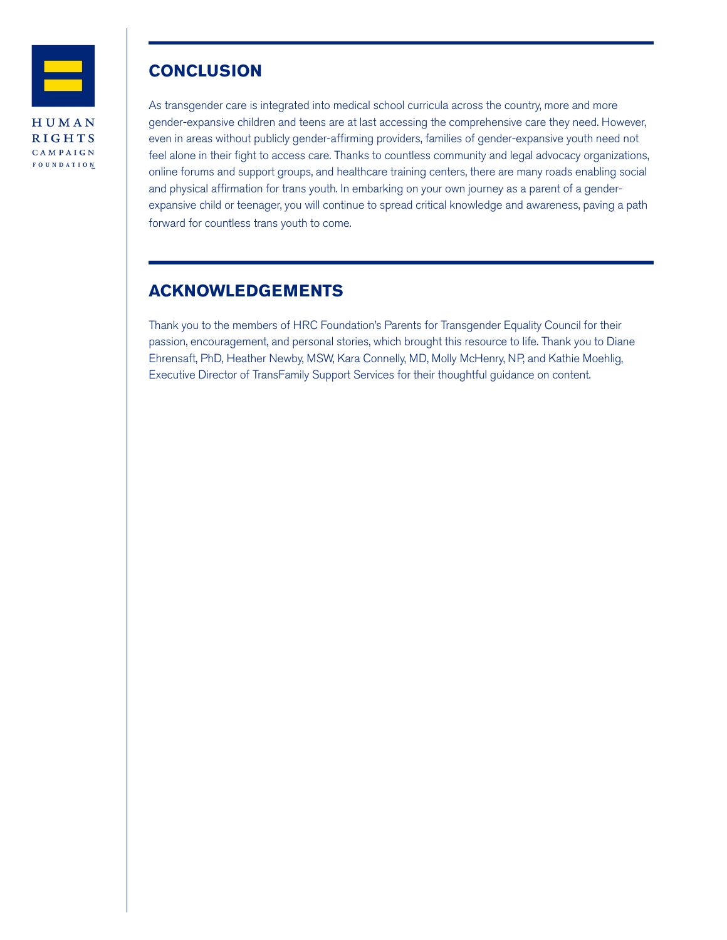

### **CONCLUSION**

As transgender care is integrated into medical school curricula across the country, more and more gender-expansive children and teens are at last accessing the comprehensive care they need. However, even in areas without publicly gender-affirming providers, families of gender-expansive youth need not feel alone in their fight to access care. Thanks to countless community and legal advocacy organizations, online forums and support groups, and healthcare training centers, there are many roads enabling social and physical affirmation for trans youth. In embarking on your own journey as a parent of a genderexpansive child or teenager, you will continue to spread critical knowledge and awareness, paving a path forward for countless trans youth to come.

# **ACKNOWLEDGEMENTS**

Thank you to the members of HRC Foundation's Parents for Transgender Equality Council for their passion, encouragement, and personal stories, which brought this resource to life. Thank you to Diane Ehrensaft, PhD, Heather Newby, MSW, Kara Connelly, MD, Molly McHenry, NP, and Kathie Moehlig, Executive Director of TransFamily Support Services for their thoughtful guidance on content.